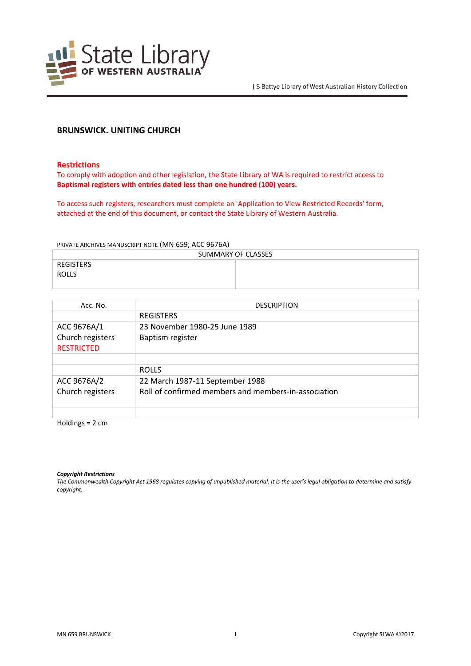

# **BRUNSWICK. UNITING CHURCH**

#### **Restrictions**

To comply with adoption and other legislation, the State Library of WA is required to restrict access to **Baptismal registers with entries dated less than one hundred (100) years.**

To access such registers, researchers must complete an 'Application to View Restricted Records' form, attached at the end of this document, or contact the State Library of Western Australia.

#### PRIVATE ARCHIVES MANUSCRIPT NOTE (MN 659; ACC 9676A)

| SUMMARY OF CLASSES |  |  |
|--------------------|--|--|
| REGISTERS          |  |  |
| <b>ROLLS</b>       |  |  |
|                    |  |  |

| Acc. No.          | <b>DESCRIPTION</b>                                   |
|-------------------|------------------------------------------------------|
|                   | <b>REGISTERS</b>                                     |
| ACC 9676A/1       | 23 November 1980-25 June 1989                        |
| Church registers  | Baptism register                                     |
| <b>RESTRICTED</b> |                                                      |
|                   |                                                      |
|                   | <b>ROLLS</b>                                         |
| ACC 9676A/2       | 22 March 1987-11 September 1988                      |
| Church registers  | Roll of confirmed members and members-in-association |
|                   |                                                      |
|                   |                                                      |

Holdings = 2 cm

*Copyright Restrictions*

*The Commonwealth Copyright Act 1968 regulates copying of unpublished material. It is the user's legal obligation to determine and satisfy copyright.*